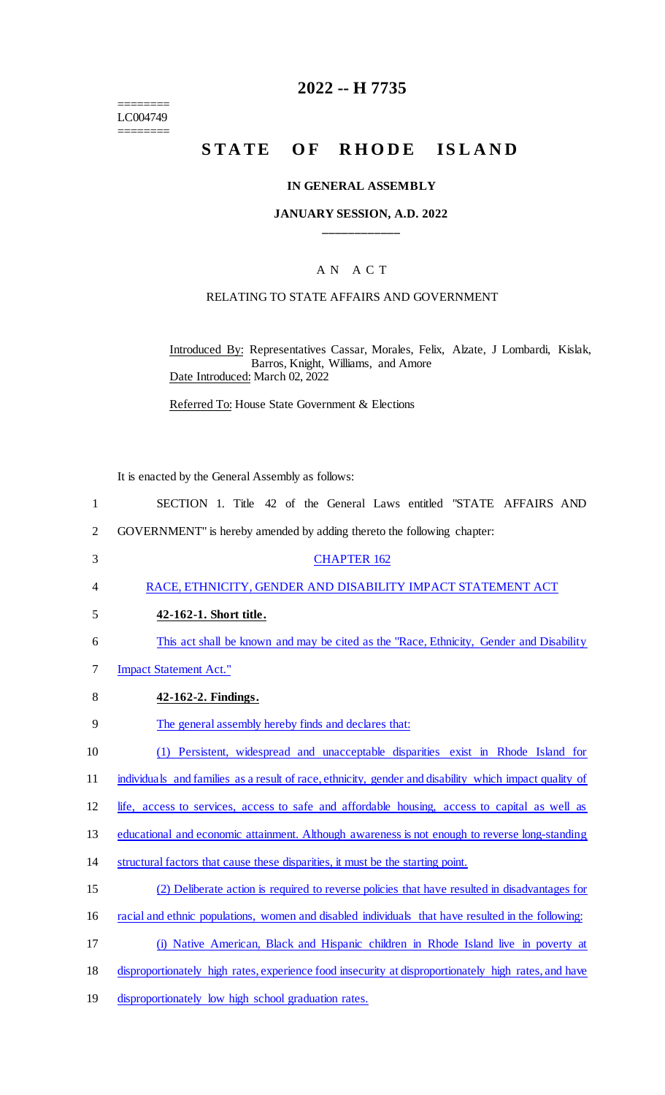======== LC004749 ========

## **2022 -- H 7735**

# STATE OF RHODE ISLAND

#### **IN GENERAL ASSEMBLY**

#### **JANUARY SESSION, A.D. 2022 \_\_\_\_\_\_\_\_\_\_\_\_**

### A N A C T

#### RELATING TO STATE AFFAIRS AND GOVERNMENT

Introduced By: Representatives Cassar, Morales, Felix, Alzate, J Lombardi, Kislak, Barros, Knight, Williams, and Amore Date Introduced: March 02, 2022

Referred To: House State Government & Elections

|                | It is enacted by the General Assembly as follows:                                                      |
|----------------|--------------------------------------------------------------------------------------------------------|
| $\mathbf{1}$   | SECTION 1. Title 42 of the General Laws entitled "STATE AFFAIRS AND                                    |
| $\overline{2}$ | GOVERNMENT" is hereby amended by adding thereto the following chapter:                                 |
| 3              | <b>CHAPTER 162</b>                                                                                     |
| 4              | RACE, ETHNICITY, GENDER AND DISABILITY IMPACT STATEMENT ACT                                            |
| 5              | 42-162-1. Short title.                                                                                 |
| 6              | This act shall be known and may be cited as the "Race, Ethnicity, Gender and Disability                |
| 7              | <b>Impact Statement Act."</b>                                                                          |
| 8              | 42-162-2. Findings.                                                                                    |
| 9              | The general assembly hereby finds and declares that:                                                   |
| 10             | (1) Persistent, widespread and unacceptable disparities exist in Rhode Island for                      |
| 11             | individuals and families as a result of race, ethnicity, gender and disability which impact quality of |
| 12             | life, access to services, access to safe and affordable housing, access to capital as well as          |
| 13             | educational and economic attainment. Although awareness is not enough to reverse long-standing         |
| 14             | structural factors that cause these disparities, it must be the starting point.                        |
| 15             | (2) Deliberate action is required to reverse policies that have resulted in disadvantages for          |
| 16             | racial and ethnic populations, women and disabled individuals that have resulted in the following:     |
| 17             | (i) Native American, Black and Hispanic children in Rhode Island live in poverty at                    |
| 18             | disproportionately high rates, experience food insecurity at disproportionately high rates, and have   |
| 19             | disproportionately low high school graduation rates.                                                   |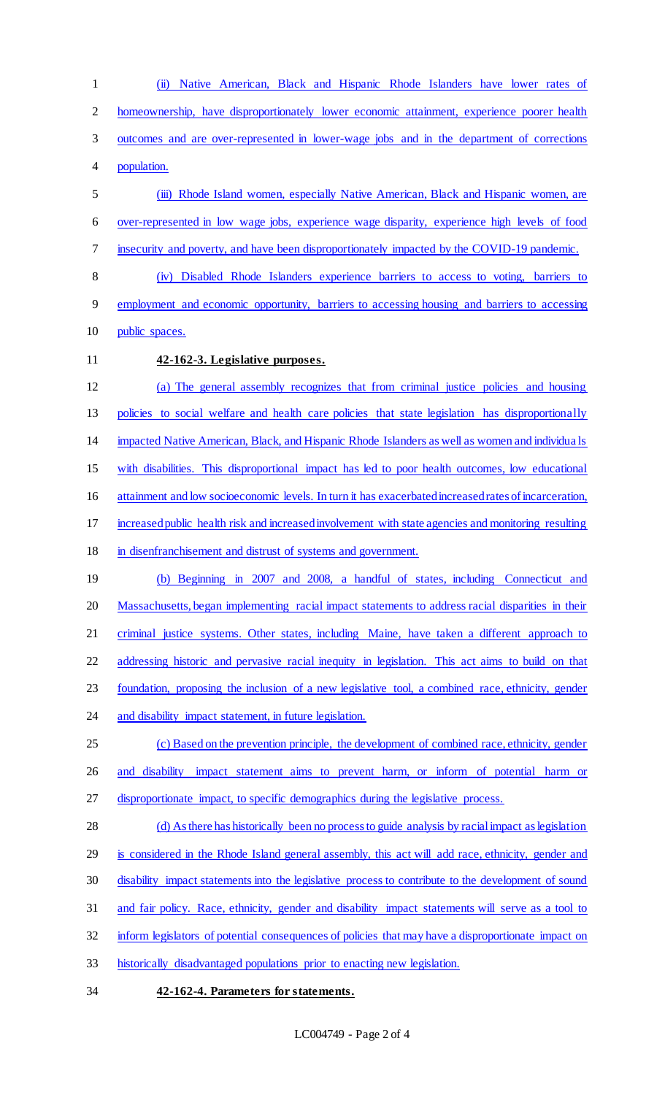(ii) Native American, Black and Hispanic Rhode Islanders have lower rates of homeownership, have disproportionately lower economic attainment, experience poorer health outcomes and are over-represented in lower-wage jobs and in the department of corrections population. (iii) Rhode Island women, especially Native American, Black and Hispanic women, are over-represented in low wage jobs, experience wage disparity, experience high levels of food insecurity and poverty, and have been disproportionately impacted by the COVID-19 pandemic. (iv) Disabled Rhode Islanders experience barriers to access to voting, barriers to employment and economic opportunity, barriers to accessing housing and barriers to accessing 10 public spaces. **42-162-3. Legislative purposes.**  (a) The general assembly recognizes that from criminal justice policies and housing policies to social welfare and health care policies that state legislation has disproportionally impacted Native American, Black, and Hispanic Rhode Islanders as well as women and individua ls with disabilities. This disproportional impact has led to poor health outcomes, low educational attainment and low socioeconomic levels. In turn it has exacerbated increased rates of incarceration, increased public health risk and increased involvement with state agencies and monitoring resulting in disenfranchisement and distrust of systems and government. (b) Beginning in 2007 and 2008, a handful of states, including Connecticut and 20 Massachusetts, began implementing racial impact statements to address racial disparities in their 21 criminal justice systems. Other states, including Maine, have taken a different approach to addressing historic and pervasive racial inequity in legislation. This act aims to build on that foundation, proposing the inclusion of a new legislative tool, a combined race, ethnicity, gender 24 and disability impact statement, in future legislation. (c) Based on the prevention principle, the development of combined race, ethnicity, gender and disability impact statement aims to prevent harm, or inform of potential harm or disproportionate impact, to specific demographics during the legislative process. 28 (d) As there has historically been no process to guide analysis by racial impact as legislation is considered in the Rhode Island general assembly, this act will add race, ethnicity, gender and disability impact statements into the legislative process to contribute to the development of sound and fair policy. Race, ethnicity, gender and disability impact statements will serve as a tool to inform legislators of potential consequences of policies that may have a disproportionate impact on historically disadvantaged populations prior to enacting new legislation.

**42-162-4. Parameters for statements.**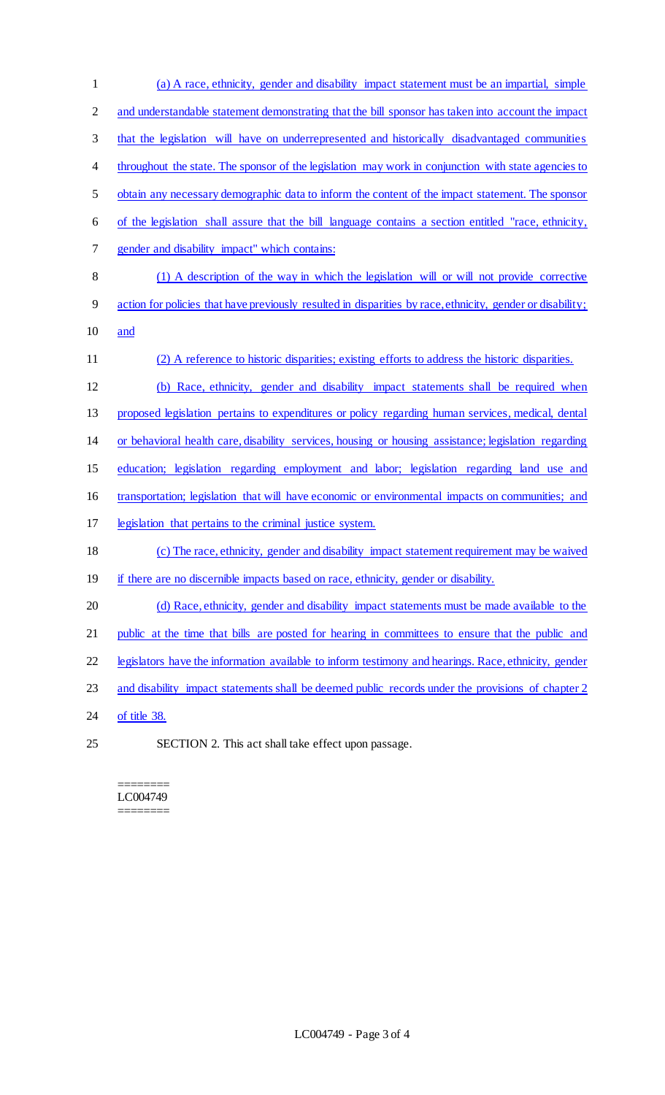(a) A race, ethnicity, gender and disability impact statement must be an impartial, simple 2 and understandable statement demonstrating that the bill sponsor has taken into account the impact that the legislation will have on underrepresented and historically disadvantaged communities 4 throughout the state. The sponsor of the legislation may work in conjunction with state agencies to obtain any necessary demographic data to inform the content of the impact statement. The sponsor of the legislation shall assure that the bill language contains a section entitled "race, ethnicity, gender and disability impact" which contains: (1) A description of the way in which the legislation will or will not provide corrective action for policies that have previously resulted in disparities by race, ethnicity, gender or disability; and (2) A reference to historic disparities; existing efforts to address the historic disparities. (b) Race, ethnicity, gender and disability impact statements shall be required when proposed legislation pertains to expenditures or policy regarding human services, medical, dental or behavioral health care, disability services, housing or housing assistance; legislation regarding education; legislation regarding employment and labor; legislation regarding land use and transportation; legislation that will have economic or environmental impacts on communities; and legislation that pertains to the criminal justice system. (c) The race, ethnicity, gender and disability impact statement requirement may be waived 19 if there are no discernible impacts based on race, ethnicity, gender or disability. 20 (d) Race, ethnicity, gender and disability impact statements must be made available to the 21 public at the time that bills are posted for hearing in committees to ensure that the public and legislators have the information available to inform testimony and hearings. Race, ethnicity, gender 23 and disability impact statements shall be deemed public records under the provisions of chapter 2 24 of title 38. SECTION 2. This act shall take effect upon passage.

======== LC004749 ========